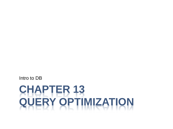# **CHAPTER 13 QUERY OPTIMIZATION**

Intro to DB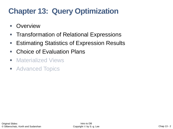## **Chapter 13: Query Optimization**

- Overview
- Transformation of Relational Expressions
- Estimating Statistics of Expression Results
- Choice of Evaluation Plans
- Materialized Views
- Advanced Topics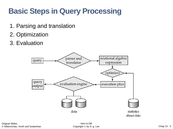### **Basic Steps in Query Processing**

- 1. Parsing and translation
- 2. Optimization
- 3. Evaluation

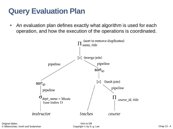#### **Query Evaluation Plan**

■ An evaluation plan defines exactly what algorithm is used for each operation, and how the execution of the operations is coordinated.

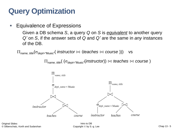#### **Query Optimization**

■ Equivalence of Expressions

Given a DB schema *S*, a query *Q* on *S* is *equivalent* to another query *Q'* on *S*, if the answer sets of *Q* and *Q'* are the same in *any* instances of the DB.

 $\Pi_{name, title}(\sigma_{dept}$ <sup>"</sup>Music"( *instructor*  $\bowtie$  (*teaches*  $\bowtie$  *course* ))) vs

 $\Pi_{\mathit{name},\mathit{title}}(\ (\sigma_{\mathit{dept}^{\pm\text{``Music''}}}(\mathit{instructor}))\bowtie \mathit{teaches} \bowtie \mathit{course})$ 

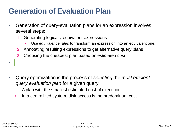#### **Generation of Evaluation Plan**

- Generation of query-evaluation plans for an expression involves several steps:
	- 1. Generating logically equivalent expressions
		- Use *equivalence rules* to transform an expression into an equivalent one.
	- 2. Annotating resulting expressions to get alternative query plans
	- 3. Choosing the cheapest plan based on *estimated cost*

▪ The overall process is called *cost based optimization*.

- Query optimization is the process of *selecting* the *most efficient query evaluation plan* for a given query
	- **A plan with the smallest estimated cost of execution**
	- In a centralized system, disk access is the predominant cost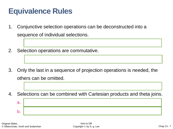#### **Equivalence Rules**

- 1. Conjunctive selection operations can be deconstructed into a sequence of individual selections.
- 2. Selection operations are commutative.

- 3. Only the last in a sequence of projection operations is needed, the others can be omitted.
- 4. Selections can be combined with Cartesian products and theta joins. a.  $b$ .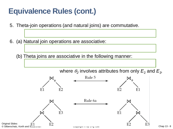### **Equivalence Rules (cont.)**

- 5. Theta-join operations (and natural joins) are commutative.
- 6. (a) Natural join operations are associative:
	- (b) Theta joins are associative in the following manner:

where  $\theta_2$  involves attributes from only  $E_2$  and  $E_3$ .

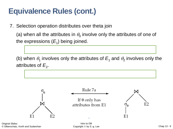#### **Equivalence Rules (cont.)**

7. Selection operation distributes over theta join

(a) when all the attributes in  $\theta_0$  involve only the attributes of one of the expressions  $(E_{1})$  being joined.

(b) when  $\theta_1$  involves only the attributes of  $E_1$  and  $\theta_2$  involves only the attributes of  $E_2$ .



Original Slides: © Silberschatz, Korth and Sudarshan

Intro to DB Copyright © by S.-g. Lee Chap 13 - 9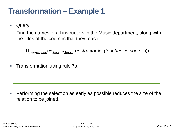#### **Transformation – Example 1**

■ Query:

Find the names of all instructors in the Music department, along with the titles of the courses that they teach.

 $\Pi_{name, title}(\sigma_{dept} = "Music" (instructor \bowtie (teaches \bowtie course)))$ 

■ Transformation using rule 7a.

■ Performing the selection as early as possible reduces the size of the relation to be joined.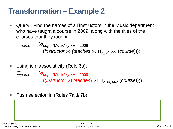#### **Transformation – Example 2**

■ Query: Find the names of all instructors in the Music department who have taught a course in 2009, along with the titles of the courses that they taught.

 $\Pi_{name, title}(\sigma_{dept} = \text{Music" \wedge year} = 2009)$ (*instructor*  $\bowtie$  (*teaches*  $\bowtie$   $\Pi_c$  *id, title* (*course*))))

■ Using join associativity (Rule 6a):

 $\Pi_{name, title}(\sigma_{dept} = \text{Music" \wedge \text{year} = 2009})$  $((\text{instructor} \bowtie \text{teaches}) \bowtie \Pi_{\text{c}} \text{ id. title } (\text{course})))$ 

*name, title*( (*dept="*Music"(*instructor*) ⋈ *year* = 2009(*teaches*)) ⋈

■ Push selection in (Rules 7a & 7b):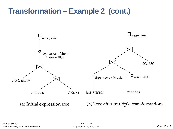#### **Transformation – Example 2 (cont.)**

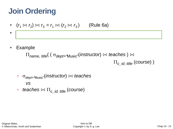### **Join Ordering**

$$
(r_1 \bowtie r_2) \bowtie r_3 = r_1 \bowtie (r_2 \bowtie r_3) \qquad \text{(Rule 6a)}
$$

■ Example

 $\Pi$ <sub>name, title</sub>( (  $\sigma$ <sub>dept="Music"</sub>(instructor)  $\bowtie$  *teaches* )  $\bowtie$  $\Pi_c$  *id, title* (*course*) )

 $\blacksquare$  . Choose the expression that will yield smaller temporary results may be expressed smaller temporary results for

$$
\text{ } \quad \ \ \sigma_{\textit{dept}=\text{``Music''}}(\textit{instructor}) \bowtie \textit{teaches}
$$

#### *vs*

$$
\blacksquare \hspace{0.2cm} \textit{teaches} \bowtie \Pi_{c\_id, \hspace{0.1cm} \textit{title}} \textit{(course)}
$$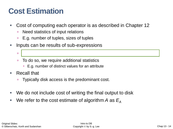#### **Cost Estimation**

- Cost of computing each operator is as described in Chapter 12
	- Need statistics of input relations
	- E.g. number of tuples, sizes of tuples
- Inputs can be results of sub-expressions
	- Need to estimate size of expression results
	- To do so, we require additional statistics
		- E.g. number of distinct values for an attribute
- Recall that
	- Typically disk access is the predominant cost.
- We do not include cost of writing the final output to disk
- We refer to the cost estimate of algorithm *A* as  $E_A$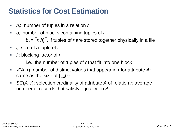#### **Statistics for Cost Estimation**

- *n<sub>r</sub>*: number of tuples in a relation *r*
- *b<sub>r</sub>*: number of blocks containing tuples of *r*  $b_r = |n_r/f_r|$ , if tuples of *r* are stored together physically in a file
- *l<sub>r</sub>*: size of a tuple of *r*
- *f<sub>r</sub>*: blocking factor of *r*

i.e., the number of tuples of *r* that fit into one block

- *V*(*A, r*): number of distinct values that appear in *r* for attribute *A;*  same as the size of  $\prod_A(r)$
- *SC(A, r)*: selection cardinality of attribute *A* of relation *r*; average number of records that satisfy equality on *A*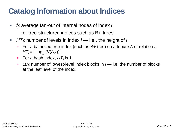#### **Catalog Information about Indices**

- *f i* : average fan-out of internal nodes of index *i*, for tree-structured indices such as B+-trees
- *HTi* : number of levels in index *i* i.e., the height of *i*
	- For a balanced tree index (such as B+-tree) on attribute *A* of relation *r,*   $HT_i = \left[ \log_{fi} (V(A_i)) \right].$
	- □ For a hash index, *HT<sub>i</sub>* is 1.
	- □ LB<sub>*i*</sub> number of lowest-level index blocks in *i* i.e, the number of blocks at the leaf level of the index.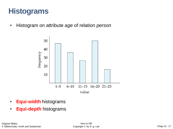#### **Histograms**

▪ Histogram on attribute *age* of relation *person*



- **Equi-width** histograms
- **Equi-depth** histograms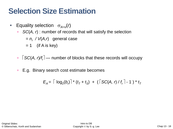#### **Selection Size Estimation**

- **Equality selection**  $\sigma_{A=V}(r)$ 
	- *SC(A, r*) : number of records that will satisfy the selection
		- *= n<sup>r</sup> / V*(*A,r*) general case
		- $= 1$  (if A is key)
	- □ │SC(*A, r)/f<sub>r</sub>*│— number of blocks that these records will occupy
	- E.g. Binary search cost estimate becomes

$$
E_A = \lceil \log_2(b_r) \rceil^* (t_T + t_S) + (\lceil SC(A, r) / t_r \rceil - 1)^* t_T
$$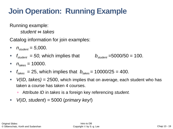## **Join Operation: Running Example**

Running example:

*student* ⋈ *takes*

Catalog information for join examples:

- $n_{student} = 5,000$ .
- $f_{student} = 50$ , which implies that  $b_{student} = 5000/50 = 100$ .
- $n_{\text{takes}} = 10000.$
- $f_{\text{takes}} = 25$ , which implies that  $b_{\text{takes}} = 10000/25 = 400$ .
- *V(ID, takes)* = 2500, which implies that on average, each student who has taken a course has taken 4 courses.
	- Attribute *ID* in *takes* is a foreign key referencing *student.*
- *V*(*ID, student*) *=* 5000 (*primary key!*)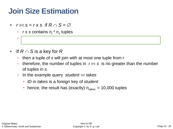#### **Join Size Estimation**

- $\blacksquare$   $r \bowtie s = r \times s$  if  $R \cap S = \varnothing$ 
	- *r* x *s* contains *nr \* n<sup>s</sup>* tuples
	- each tuple occupies *l*
- $\blacksquare$  If  $R \cap S$  is a key for  $R$ 
	- then a tuple of *s* will join with at most one tuple from *r*

*<sup>r</sup> + l<sup>s</sup>* bytes

- **■** therefore, the number of tuples in  $r \Join s$  is no greater than the number of tuples in *s.*
- In the example query *student*  $\Join$  *takes* 
	- *ID* in *takes* is a foreign key of *student*
	- **hence, the result has (exactly)**  $n_{takes} = 10,000$  tuples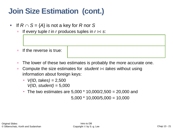#### **Join Size Estimation (cont.)**

- $\blacksquare$  If  $R \cap S = \{A\}$  is not a key for R nor S
	- If every tuple *t* in *r* produces tuples in  $r \bowtie s$ :

- *n* If the reverse is true:
- $\blacksquare$  The lower of these two estimates is probably the more accurate one.
- **□** Compute the size estimates for *student*  $\Join$  *takes* without using information about foreign keys:
	- *V(ID, takes) =* 2,500 *V(ID, student)* = 5,000
	- The two estimates are  $5,000 * 10,000/2,500 = 20,000$  and

 $5,000 * 10,000/5,000 = 10,000$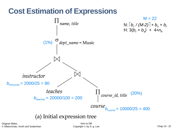

#### (a) Initial expression tree

Original Slides: © Silberschatz, Korth and Sudarshan

Intro to DB Copyright © by S.-g. Lee Chap 13 - 22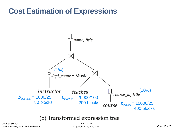#### **Cost Estimation of Expressions**



#### (b) Transformed expression tree

Original Slides: © Silberschatz, Korth and Sudarshan

Intro to DB Copyright © by S.-g. Lee Chap 13 - 23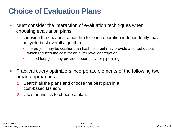#### **Choice of Evaluation Plans**

- Must consider the interaction of evaluation techniques when choosing evaluation plans
	- choosing the cheapest algorithm for each operation independently may not yield best overall algorithm.
		- merge-join may be costlier than hash-join, but may provide a sorted output which reduces the cost for an outer level aggregation.
		- nested-loop join may provide opportunity for pipelining
- Practical query optimizers incorporate elements of the following two broad approaches:
	- 1. Search all the plans and choose the best plan in a cost-based fashion.
	- 2. Uses heuristics to choose a plan.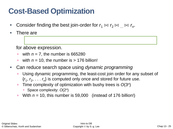#### **Cost-Based Optimization**

- Consider finding the best join-order for  $r_1 \Join r_2 \Join ... \Join r_n$ .
- There are

for above expression.

- with *n* = 7, the number is 665280
- with  $n = 10$ , the number is  $> 176$  billion!
- Can reduce search space using *dynamic programming*
	- Using dynamic programming, the least-cost join order for any subset of  $\{r_1, r_2, \ldots, r_n\}$  is computed only once and stored for future use.
	- Time complexity of optimization with bushy trees is  $O(3<sup>n</sup>)$ 
		- Space complexity: *O*(2*<sup>n</sup>* )
	- With *n* = 10, this number is 59,000 (instead of 176 billion!)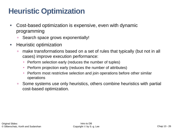#### **Heuristic Optimization**

- Cost-based optimization is expensive, even with dynamic programming
	- Search space grows exponentially!
- Heuristic optimization
	- make transformations based on a set of rules that typically (but not in all cases) improve execution performance:
		- Perform selection early (reduces the number of tuples)
		- Perform projection early (reduces the number of attributes)
		- Perform most restrictive selection and join operations before other similar operations
	- Some systems use only heuristics, others combine heuristics with partial cost-based optimization.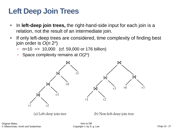#### **Left Deep Join Trees**

- In **left-deep join trees,** the right-hand-side input for each join is a relation, not the result of an intermediate join.
- **EXTE:** If only left-deep trees are considered, time complexity of finding best join order is *O*(*n* 2 *n* )
	- $n=10$  => 10,000 (cf. 59,000 or 176 billion)
	- Space complexity remains at *O*(2<sup>*n*</sup>)